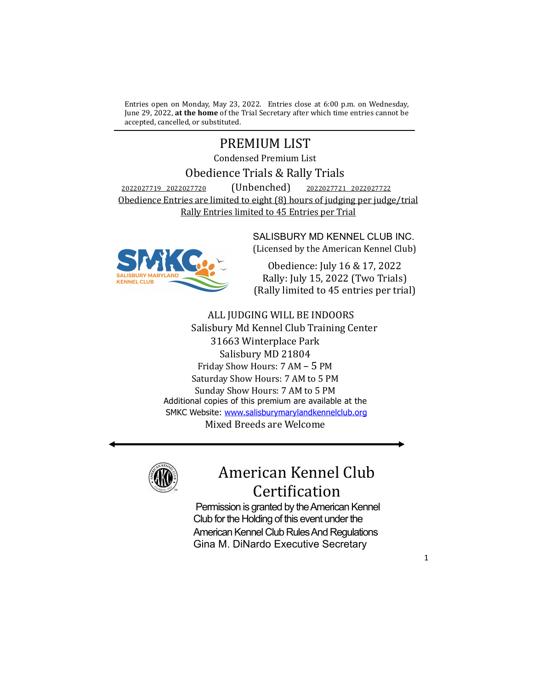Entries open on Monday, May 23, 2022. Entries close at 6:00 p.m. on Wednesday, June 29, 2022, **at the home** of the Trial Secretary after which time entries cannot be accepted, cancelled, or substituted.

## PREMIUM LIST

Condensed Premium List

## Obedience Trials & Rally Trials

2022027719 2022027720 (Unbenched) 2022027721 2022027722 Obedience Entries are limited to eight (8) hours of judging per judge/trial Rally Entries limited to 45 Entries per Trial



SALISBURY MD KENNEL CLUB INC. (Licensed by the American Kennel Club)

Obedience: July 16 & 17, 2022 Rally: July 15, 2022 (Two Trials) (Rally limited to 45 entries per trial)

# ALL JUDGING WILL BE INDOORS

Salisbury Md Kennel Club Training Center 31663 Winterplace Park Salisbury MD 21804 Friday Show Hours: 7 AM - 5 PM Saturday Show Hours: 7 AM to 5 PM Sunday Show Hours: 7 AM to 5 PM Additional copies of this premium are available at the SMKC Website: www.salisburymarylandkennelclub.org Mixed Breeds are Welcome



# American Kennel Club Certification

Permission is granted by the American Kennel Club for the Holding of this event under the American Kennel Club Rules And Regulations Gina M. DiNardo Executive Secretary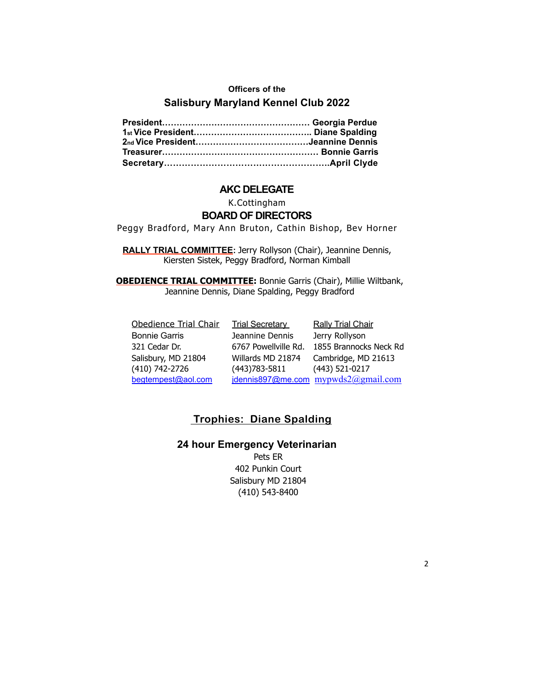#### **Officers of the**

## **Salisbury Maryland Kennel Club 2022**

#### **AKC DELEGATE**

### K.Cottingham

## **BOARD OF DIRECTORS**

Peggy Bradford, Mary Ann Bruton, Cathin Bishop, Bev Horner

**RALLY TRIAL COMMITTEE:** Jerry Rollyson (Chair), Jeannine Dennis, Kiersten Sistek, Peggy Bradford, Norman Kimball

**OBEDIENCE TRIAL COMMITTEE:** Bonnie Garris (Chair), Millie Wiltbank, Jeannine Dennis, Diane Spalding, Peggy Bradford

| Obedience Trial Chair | <b>Trial Secretary</b> | <b>Rally Trial Chair</b>            |
|-----------------------|------------------------|-------------------------------------|
| <b>Bonnie Garris</b>  | Jeannine Dennis        | Jerry Rollyson                      |
| 321 Cedar Dr.         | 6767 Powellville Rd.   | 1855 Brannocks Neck Rd              |
| Salisbury, MD 21804   | Willards MD 21874      | Cambridge, MD 21613                 |
| (410) 742-2726        | $(443)783 - 5811$      | (443) 521-0217                      |
| begtempest@aol.com    |                        | jdennis897@me.com mypwds2@gmail.com |

## **Trophies: Diane Spalding**

## **24 hour Emergency Veterinarian**

Pets ER 402 Punkin Court Salisbury MD 21804 (410) 543-8400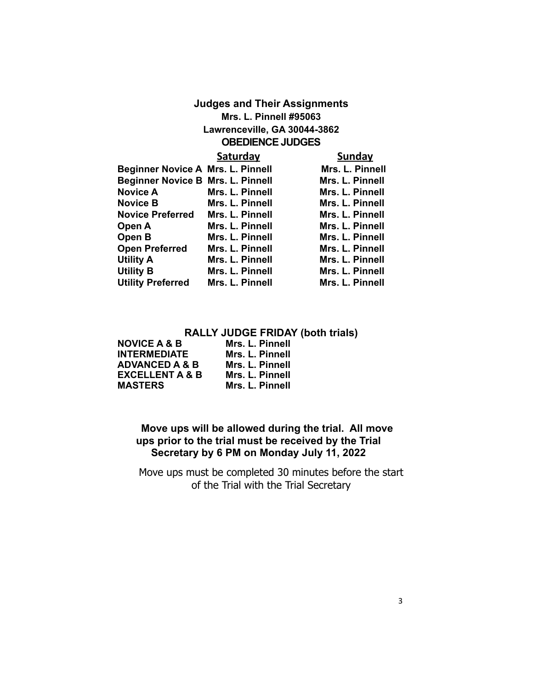## **Judges and Their Assignments Mrs. L. Pinnell #95063 Lawrenceville, GA 30044-3862 OBEDIENCE JUDGES**

|                                          | Saturday        | <b>Sunday</b>   |
|------------------------------------------|-----------------|-----------------|
| <b>Beginner Novice A Mrs. L. Pinnell</b> |                 | Mrs. L. Pinnell |
| <b>Beginner Novice B Mrs. L. Pinnell</b> |                 | Mrs. L. Pinnell |
| <b>Novice A</b>                          | Mrs. L. Pinnell | Mrs. L. Pinnell |
| <b>Novice B</b>                          | Mrs. L. Pinnell | Mrs. L. Pinnell |
| <b>Novice Preferred</b>                  | Mrs. L. Pinnell | Mrs. L. Pinnell |
| Open A                                   | Mrs. L. Pinnell | Mrs. L. Pinnell |
| Open B                                   | Mrs. L. Pinnell | Mrs. L. Pinnell |
| <b>Open Preferred</b>                    | Mrs. L. Pinnell | Mrs. L. Pinnell |
| <b>Utility A</b>                         | Mrs. L. Pinnell | Mrs. L. Pinnell |
| <b>Utility B</b>                         | Mrs. L. Pinnell | Mrs. L. Pinnell |
| <b>Utility Preferred</b>                 | Mrs. L. Pinnell | Mrs. L. Pinnell |

## **RALLY JUDGE FRIDAY (both trials)**

| <b>NOVICE A &amp; B</b>    | Mrs. L. Pinnell |
|----------------------------|-----------------|
| <b>INTERMEDIATE</b>        | Mrs. L. Pinnell |
| <b>ADVANCED A &amp; B</b>  | Mrs. L. Pinnell |
| <b>EXCELLENT A &amp; B</b> | Mrs. L. Pinnell |
| <b>MASTERS</b>             | Mrs. L. Pinnell |

## **Move ups will be allowed during the trial. All move ups prior to the trial must be received by the Trial Secretary by 6 PM on Monday July 11, 2022**

Move ups must be completed 30 minutes before the start of the Trial with the Trial Secretary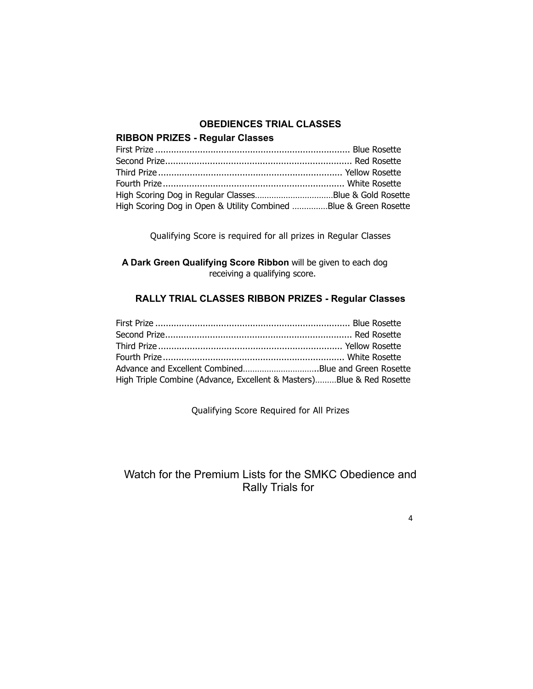## **OBEDIENCES TRIAL CLASSES**

## **RIBBON PRIZES - Regular Classes**

| High Scoring Dog in Open & Utility Combined Blue & Green Rosette |  |
|------------------------------------------------------------------|--|

Qualifying Score is required for all prizes in Regular Classes

**A Dark Green Qualifying Score Ribbon** will be given to each dog receiving a qualifying score.

## **RALLY TRIAL CLASSES RIBBON PRIZES - Regular Classes**

| High Triple Combine (Advance, Excellent & Masters)Blue & Red Rosette |  |
|----------------------------------------------------------------------|--|

Qualifying Score Required for All Prizes

## Watch for the Premium Lists for the SMKC Obedience and Rally Trials for

4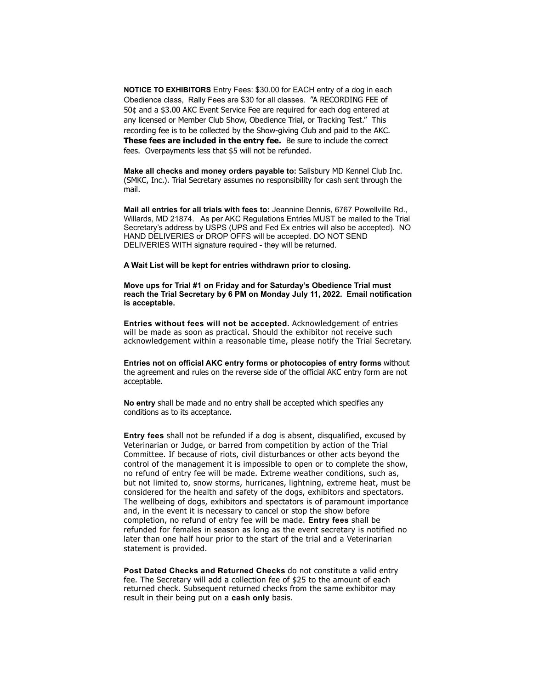**NOTICE TO EXHIBITORS** Entry Fees: \$30.00 for EACH entry of a dog in each Obedience class, Rally Fees are \$30 for all classes. "A RECORDING FEE of 50¢ and a \$3.00 AKC Event Service Fee are required for each dog entered at any licensed or Member Club Show, Obedience Trial, or Tracking Test." This recording fee is to be collected by the Show-giving Club and paid to the AKC. **These fees are included in the entry fee.** Be sure to include the correct fees. Overpayments less that \$5 will not be refunded.

**Make all checks and money orders payable to:** Salisbury MD Kennel Club Inc. (SMKC, Inc.). Trial Secretary assumes no responsibility for cash sent through the mail.

**Mail all entries for all trials with fees to:** Jeannine Dennis, 6767 Powellville Rd., Willards, MD 21874. As per AKC Regulations Entries MUST be mailed to the Trial Secretary's address by USPS (UPS and Fed Ex entries will also be accepted). NO HAND DELIVERIES or DROP OFFS will be accepted. DO NOT SEND DELIVERIES WITH signature required - they will be returned.

**A Wait List will be kept for entries withdrawn prior to closing.** 

**Move ups for Trial #1 on Friday and for Saturday's Obedience Trial must reach the Trial Secretary by 6 PM on Monday July 11, 2022. Email notification is acceptable.**

**Entries without fees will not be accepted.** Acknowledgement of entries will be made as soon as practical. Should the exhibitor not receive such acknowledgement within a reasonable time, please notify the Trial Secretary.

**Entries not on official AKC entry forms or photocopies of entry forms** without the agreement and rules on the reverse side of the official AKC entry form are not acceptable.

**No entry** shall be made and no entry shall be accepted which specifies any conditions as to its acceptance.

**Entry fees** shall not be refunded if a dog is absent, disqualified, excused by Veterinarian or Judge, or barred from competition by action of the Trial Committee. If because of riots, civil disturbances or other acts beyond the control of the management it is impossible to open or to complete the show, no refund of entry fee will be made. Extreme weather conditions, such as, but not limited to, snow storms, hurricanes, lightning, extreme heat, must be considered for the health and safety of the dogs, exhibitors and spectators. The wellbeing of dogs, exhibitors and spectators is of paramount importance and, in the event it is necessary to cancel or stop the show before completion, no refund of entry fee will be made. **Entry fees** shall be refunded for females in season as long as the event secretary is notified no later than one half hour prior to the start of the trial and a Veterinarian statement is provided.

**Post Dated Checks and Returned Checks** do not constitute a valid entry fee. The Secretary will add a collection fee of \$25 to the amount of each returned check. Subsequent returned checks from the same exhibitor may result in their being put on a **cash only** basis.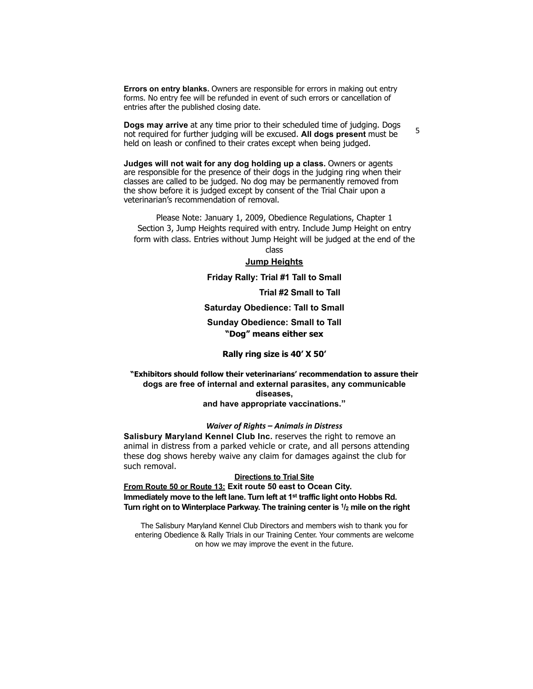**Errors on entry blanks.** Owners are responsible for errors in making out entry forms. No entry fee will be refunded in event of such errors or cancellation of entries after the published closing date.

**Dogs may arrive** at any time prior to their scheduled time of judging. Dogs not required for further judging will be excused. **All dogs present** must be held on leash or confined to their crates except when being judged.

**Judges will not wait for any dog holding up a class.** Owners or agents are responsible for the presence of their dogs in the judging ring when their classes are called to be judged. No dog may be permanently removed from the show before it is judged except by consent of the Trial Chair upon a veterinarian's recommendation of removal.

Please Note: January 1, 2009, Obedience Regulations, Chapter 1 Section 3, Jump Heights required with entry. Include Jump Height on entry form with class. Entries without Jump Height will be judged at the end of the

class

#### **Jump Heights**

#### **Friday Rally: Trial #1 Tall to Small**

 **Trial #2 Small to Tall**

5

**Saturday Obedience: Tall to Small**

**Sunday Obedience: Small to Tall "Dog" means either sex**

#### **Rally ring size is 40' X 50'**

#### **"Exhibitors should follow their veterinarians' recommendation to assure their dogs are free of internal and external parasites, any communicable diseases, and have appropriate vaccinations."**

#### *Waiver of Rights* – Animals in Distress

**Salisbury Maryland Kennel Club Inc.** reserves the right to remove an animal in distress from a parked vehicle or crate, and all persons attending these dog shows hereby waive any claim for damages against the club for such removal.

#### **Directions to Trial Site**

**From Route 50 or Route 13: Exit route 50 east to Ocean City. Immediately move to the left lane. Turn left at 1st traffic light onto Hobbs Rd. Turn right on to Winterplace Parkway. The training center is 1/2 mile on the right**

The Salisbury Maryland Kennel Club Directors and members wish to thank you for entering Obedience & Rally Trials in our Training Center. Your comments are welcome on how we may improve the event in the future.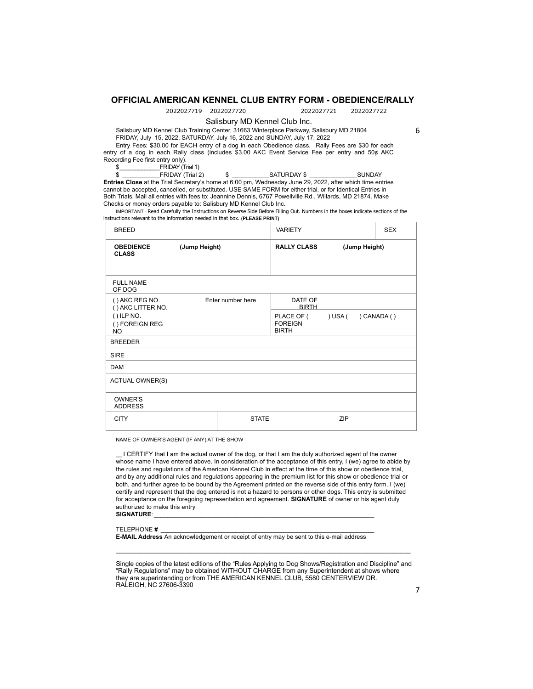#### **OFFICIAL AMERICAN KENNEL CLUB ENTRY FORM - OBEDIENCE/RALLY**

2022027719 2022027720 2022027721 2022027722

Salisbury MD Kennel Club Inc.

Salisbury MD Kennel Club Training Center, 31663 Winterplace Parkway, Salisbury MD 21804 FRIDAY, July 15, 2022, SATURDAY, July 16, 2022 and SUNDAY, July 17, 2022

6

Entry Fees: \$30.00 for EACH entry of a dog in each Obedience class. Rally Fees are \$30 for each entry of a dog in each Rally class (includes \$3.00 AKC Event Service Fee per entry and 50¢ AKC Recording Fee first entry only).

 $\frac{2}{3}$  FRIDAY (Trial 1)<br> $\frac{2}{3}$  FRIDAY (Trial 2)

\$ \_\_\_\_\_\_\_\_\_\_\_FRIDAY (Trial 2) \$ \_\_\_\_\_\_\_\_\_\_\_SATURDAY \$ \_\_\_\_\_\_\_\_\_\_\_\_\_\_SUNDAY **Entries Close** at the Trial Secretary's home at 6:00 pm, Wednesday June 29, 2022, after which time entries cannot be accepted, cancelled, or substituted. USE SAME FORM for either trial, or for Identical Entries in Both Trials. Mail all entries with fees to: Jeannine Dennis, 6767 Powellville Rd., Willards, MD 21874. Make Checks or money orders payable to: Salisbury MD Kennel Club Inc.

IMPORTANT - Read Carefully the Instructions on Reverse Side Before Filling Out. Numbers in the boxes indicate sections of the instructions relevant to the information needed in that box. **(PLEASE PRINT)**

| <b>BREED</b>                                |                   | <b>VARIETY</b> |                                              |         | <b>SEX</b>    |            |
|---------------------------------------------|-------------------|----------------|----------------------------------------------|---------|---------------|------------|
| <b>OBEDIENCE</b><br><b>CLASS</b>            | (Jump Height)     |                | <b>RALLY CLASS</b>                           |         | (Jump Height) |            |
| <b>FULL NAME</b><br>OF DOG                  |                   |                |                                              |         |               |            |
| () AKC REG NO.<br>() AKC LITTER NO.         | Enter number here |                | DATE OF<br><b>BIRTH</b>                      |         |               |            |
| $()$ ILP NO.<br>() FOREIGN REG<br><b>NO</b> |                   |                | PLACE OF (<br><b>FOREIGN</b><br><b>BIRTH</b> | ) USA ( |               | ) CANADA() |
| <b>BREEDER</b>                              |                   |                |                                              |         |               |            |
| <b>SIRE</b>                                 |                   |                |                                              |         |               |            |
| <b>DAM</b>                                  |                   |                |                                              |         |               |            |
| <b>ACTUAL OWNER(S)</b>                      |                   |                |                                              |         |               |            |
| <b>OWNER'S</b><br><b>ADDRESS</b>            |                   |                |                                              |         |               |            |
| <b>CITY</b>                                 |                   | <b>STATE</b>   |                                              | ZIP     |               |            |

NAME OF OWNER'S AGENT (IF ANY) AT THE SHOW

\_\_ I CERTIFY that I am the actual owner of the dog, or that I am the duly authorized agent of the owner whose name I have entered above. In consideration of the acceptance of this entry, I (we) agree to abide by the rules and regulations of the American Kennel Club in effect at the time of this show or obedience trial, and by any additional rules and regulations appearing in the premium list for this show or obedience trial or both, and further agree to be bound by the Agreement printed on the reverse side of this entry form. I (we) certify and represent that the dog entered is not a hazard to persons or other dogs. This entry is submitted for acceptance on the foregoing representation and agreement. **SIGNATURE** of owner or his agent duly authorized to make this entry

SIGNATURE:

TELEPHONE **# \_\_\_\_\_\_\_\_\_\_\_\_\_\_\_\_\_\_\_\_\_\_\_\_\_\_\_\_\_\_\_\_\_\_\_\_\_\_\_\_\_\_\_\_\_\_\_\_\_\_\_\_\_\_\_\_\_\_\_\_\_\_\_**

**E-MAIL Address** An acknowledgement or receipt of entry may be sent to this e-mail address

Single copies of the latest editions of the "Rules Applying to Dog Shows/Registration and Discipline" and "Rally Regulations" may be obtained WITHOUT CHARGE from any Superintendent at shows where they are superintending or from THE AMERICAN KENNEL CLUB, 5580 CENTERVIEW DR. RALEIGH, NC 27606-3390